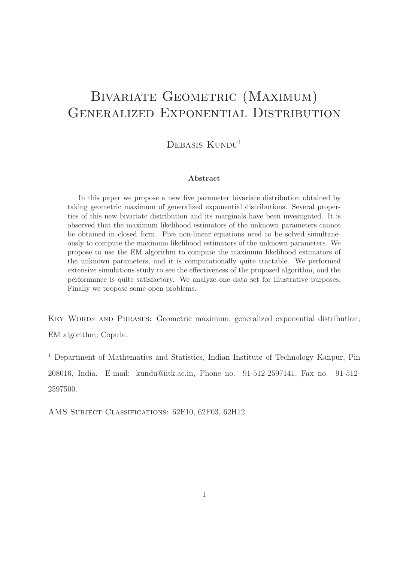# BIVARIATE GEOMETRIC (MAXIMUM) GENERALIZED EXPONENTIAL DISTRIBUTION

 $DEBASIS KUNDU<sup>1</sup>$ 

#### Abstract

In this paper we propose a new five parameter bivariate distribution obtained by taking geometric maximum of generalized exponential distributions. Several properties of this new bivariate distribution and its marginals have been investigated. It is observed that the maximum likelihood estimators of the unknown parameters cannot be obtained in closed form. Five non-linear equations need to be solved simultaneously to compute the maximum likelihood estimators of the unknown parameters. We propose to use the EM algorithm to compute the maximum likelihood estimators of the unknown parameters, and it is computationally quite tractable. We performed extensive simulations study to see the effectiveness of the proposed algorithm, and the performance is quite satisfactory. We analyze one data set for illustrative purposes. Finally we propose some open problems.

KEY WORDS AND PHRASES: Geometric maximum; generalized exponential distribution; EM algorithm; Copula.

<sup>1</sup> Department of Mathematics and Statistics, Indian Institute of Technology Kanpur, Pin 208016, India. E-mail: kundu@iitk.ac.in, Phone no. 91-512-2597141, Fax no. 91-512- 2597500.

AMS Subject Classifications: 62F10, 62F03, 62H12.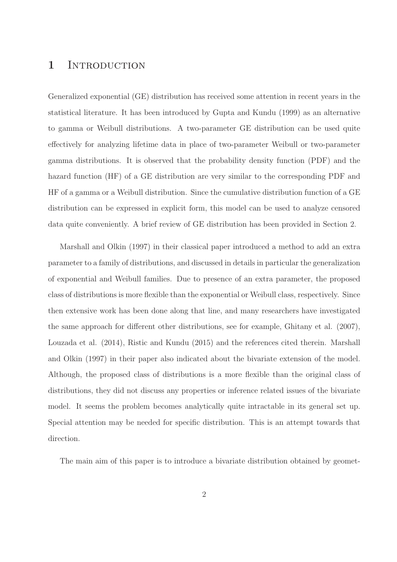### 1 INTRODUCTION

Generalized exponential (GE) distribution has received some attention in recent years in the statistical literature. It has been introduced by Gupta and Kundu (1999) as an alternative to gamma or Weibull distributions. A two-parameter GE distribution can be used quite effectively for analyzing lifetime data in place of two-parameter Weibull or two-parameter gamma distributions. It is observed that the probability density function (PDF) and the hazard function (HF) of a GE distribution are very similar to the corresponding PDF and HF of a gamma or a Weibull distribution. Since the cumulative distribution function of a GE distribution can be expressed in explicit form, this model can be used to analyze censored data quite conveniently. A brief review of GE distribution has been provided in Section 2.

Marshall and Olkin (1997) in their classical paper introduced a method to add an extra parameter to a family of distributions, and discussed in details in particular the generalization of exponential and Weibull families. Due to presence of an extra parameter, the proposed class of distributions is more flexible than the exponential or Weibull class, respectively. Since then extensive work has been done along that line, and many researchers have investigated the same approach for different other distributions, see for example, Ghitany et al. (2007), Louzada et al. (2014), Ristic and Kundu (2015) and the references cited therein. Marshall and Olkin (1997) in their paper also indicated about the bivariate extension of the model. Although, the proposed class of distributions is a more flexible than the original class of distributions, they did not discuss any properties or inference related issues of the bivariate model. It seems the problem becomes analytically quite intractable in its general set up. Special attention may be needed for specific distribution. This is an attempt towards that direction.

The main aim of this paper is to introduce a bivariate distribution obtained by geomet-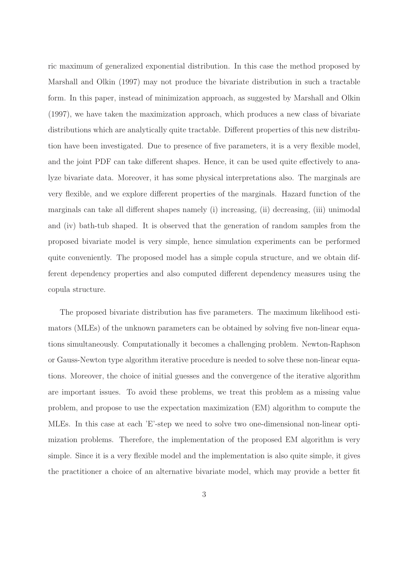ric maximum of generalized exponential distribution. In this case the method proposed by Marshall and Olkin (1997) may not produce the bivariate distribution in such a tractable form. In this paper, instead of minimization approach, as suggested by Marshall and Olkin (1997), we have taken the maximization approach, which produces a new class of bivariate distributions which are analytically quite tractable. Different properties of this new distribution have been investigated. Due to presence of five parameters, it is a very flexible model, and the joint PDF can take different shapes. Hence, it can be used quite effectively to analyze bivariate data. Moreover, it has some physical interpretations also. The marginals are very flexible, and we explore different properties of the marginals. Hazard function of the marginals can take all different shapes namely (i) increasing, (ii) decreasing, (iii) unimodal and (iv) bath-tub shaped. It is observed that the generation of random samples from the proposed bivariate model is very simple, hence simulation experiments can be performed quite conveniently. The proposed model has a simple copula structure, and we obtain different dependency properties and also computed different dependency measures using the copula structure.

The proposed bivariate distribution has five parameters. The maximum likelihood estimators (MLEs) of the unknown parameters can be obtained by solving five non-linear equations simultaneously. Computationally it becomes a challenging problem. Newton-Raphson or Gauss-Newton type algorithm iterative procedure is needed to solve these non-linear equations. Moreover, the choice of initial guesses and the convergence of the iterative algorithm are important issues. To avoid these problems, we treat this problem as a missing value problem, and propose to use the expectation maximization (EM) algorithm to compute the MLEs. In this case at each 'E'-step we need to solve two one-dimensional non-linear optimization problems. Therefore, the implementation of the proposed EM algorithm is very simple. Since it is a very flexible model and the implementation is also quite simple, it gives the practitioner a choice of an alternative bivariate model, which may provide a better fit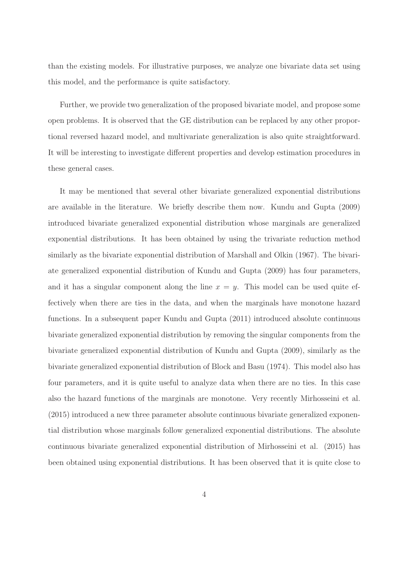than the existing models. For illustrative purposes, we analyze one bivariate data set using this model, and the performance is quite satisfactory.

Further, we provide two generalization of the proposed bivariate model, and propose some open problems. It is observed that the GE distribution can be replaced by any other proportional reversed hazard model, and multivariate generalization is also quite straightforward. It will be interesting to investigate different properties and develop estimation procedures in these general cases.

It may be mentioned that several other bivariate generalized exponential distributions are available in the literature. We briefly describe them now. Kundu and Gupta (2009) introduced bivariate generalized exponential distribution whose marginals are generalized exponential distributions. It has been obtained by using the trivariate reduction method similarly as the bivariate exponential distribution of Marshall and Olkin (1967). The bivariate generalized exponential distribution of Kundu and Gupta (2009) has four parameters, and it has a singular component along the line  $x = y$ . This model can be used quite effectively when there are ties in the data, and when the marginals have monotone hazard functions. In a subsequent paper Kundu and Gupta (2011) introduced absolute continuous bivariate generalized exponential distribution by removing the singular components from the bivariate generalized exponential distribution of Kundu and Gupta (2009), similarly as the bivariate generalized exponential distribution of Block and Basu (1974). This model also has four parameters, and it is quite useful to analyze data when there are no ties. In this case also the hazard functions of the marginals are monotone. Very recently Mirhosseini et al. (2015) introduced a new three parameter absolute continuous bivariate generalized exponential distribution whose marginals follow generalized exponential distributions. The absolute continuous bivariate generalized exponential distribution of Mirhosseini et al. (2015) has been obtained using exponential distributions. It has been observed that it is quite close to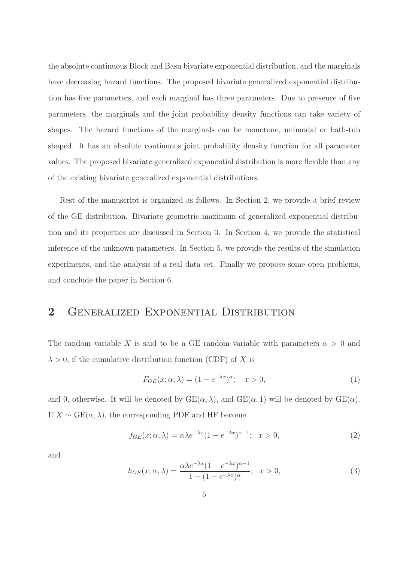the absolute continuous Block and Basu bivariate exponential distribution, and the marginals have decreasing hazard functions. The proposed bivariate generalized exponential distribution has five parameters, and each marginal has three parameters. Due to presence of five parameters, the marginals and the joint probability density functions can take variety of shapes. The hazard functions of the marginals can be monotone, unimodal or bath-tub shaped. It has an absolute continuous joint probability density function for all parameter values. The proposed bivariate generalized exponential distribution is more flexible than any of the existing bivariate generalized exponential distributions.

Rest of the manuscript is organized as follows. In Section 2, we provide a brief review of the GE distribution. Bivariate geometric maximum of generalized exponential distribution and its properties are discussed in Section 3. In Section 4, we provide the statistical inference of the unknown parameters. In Section 5, we provide the results of the simulation experiments, and the analysis of a real data set. Finally we propose some open problems, and conclude the paper in Section 6.

# 2 GENERALIZED EXPONENTIAL DISTRIBUTION

The random variable X is said to be a GE random variable with parameters  $\alpha > 0$  and  $\lambda > 0$ , if the cumulative distribution function (CDF) of X is

$$
F_{GE}(x; \alpha, \lambda) = (1 - e^{-\lambda x})^{\alpha}; \quad x > 0,
$$
\n<sup>(1)</sup>

and 0, otherwise. It will be denoted by  $GE(\alpha, \lambda)$ , and  $GE(\alpha, 1)$  will be denoted by  $GE(\alpha)$ . If  $X \sim \text{GE}(\alpha, \lambda)$ , the corresponding PDF and HF become

$$
f_{GE}(x; \alpha, \lambda) = \alpha \lambda e^{-\lambda x} (1 - e^{-\lambda x})^{\alpha - 1}; \quad x > 0,
$$
\n<sup>(2)</sup>

and

$$
h_{GE}(x; \alpha, \lambda) = \frac{\alpha \lambda e^{-\lambda x} (1 - e^{-\lambda x})^{\alpha - 1}}{1 - (1 - e^{-\lambda x})^{\alpha}}; \quad x > 0,
$$
\n(3)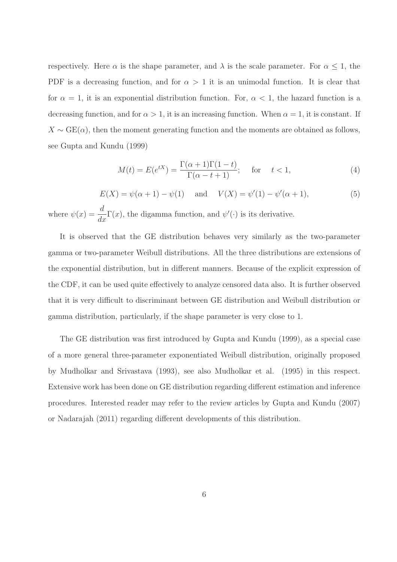respectively. Here  $\alpha$  is the shape parameter, and  $\lambda$  is the scale parameter. For  $\alpha \leq 1$ , the PDF is a decreasing function, and for  $\alpha > 1$  it is an unimodal function. It is clear that for  $\alpha = 1$ , it is an exponential distribution function. For,  $\alpha < 1$ , the hazard function is a decreasing function, and for  $\alpha > 1$ , it is an increasing function. When  $\alpha = 1$ , it is constant. If  $X \sim \text{GE}(\alpha)$ , then the moment generating function and the moments are obtained as follows, see Gupta and Kundu (1999)

$$
M(t) = E(e^{tX}) = \frac{\Gamma(\alpha + 1)\Gamma(1 - t)}{\Gamma(\alpha - t + 1)};
$$
 for  $t < 1,$  (4)

$$
E(X) = \psi(\alpha + 1) - \psi(1)
$$
 and  $V(X) = \psi'(1) - \psi'(\alpha + 1)$ , (5)

where  $\psi(x) = \frac{d}{dx}$  $\frac{d}{dx}\Gamma(x)$ , the digamma function, and  $\psi'(\cdot)$  is its derivative.

It is observed that the GE distribution behaves very similarly as the two-parameter gamma or two-parameter Weibull distributions. All the three distributions are extensions of the exponential distribution, but in different manners. Because of the explicit expression of the CDF, it can be used quite effectively to analyze censored data also. It is further observed that it is very difficult to discriminant between GE distribution and Weibull distribution or gamma distribution, particularly, if the shape parameter is very close to 1.

The GE distribution was first introduced by Gupta and Kundu (1999), as a special case of a more general three-parameter exponentiated Weibull distribution, originally proposed by Mudholkar and Srivastava (1993), see also Mudholkar et al. (1995) in this respect. Extensive work has been done on GE distribution regarding different estimation and inference procedures. Interested reader may refer to the review articles by Gupta and Kundu (2007) or Nadarajah (2011) regarding different developments of this distribution.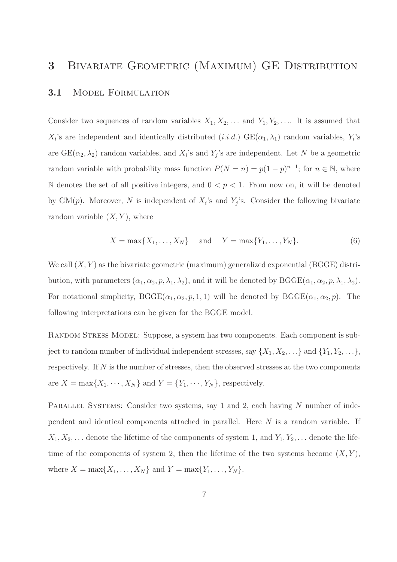### 3 Bivariate Geometric (Maximum) GE Distribution

#### 3.1 Model Formulation

Consider two sequences of random variables  $X_1, X_2, \ldots$  and  $Y_1, Y_2, \ldots$  It is assumed that  $X_i$ 's are independent and identically distributed  $(i.i.d.)$  GE $(\alpha_1, \lambda_1)$  random variables,  $Y_i$ 's are  $GE(\alpha_2, \lambda_2)$  random variables, and  $X_i$ 's and  $Y_j$ 's are independent. Let N be a geometric random variable with probability mass function  $P(N = n) = p(1 - p)^{n-1}$ ; for  $n \in \mathbb{N}$ , where N denotes the set of all positive integers, and  $0 < p < 1$ . From now on, it will be denoted by  $GM(p)$ . Moreover, N is independent of  $X_i$ 's and  $Y_j$ 's. Consider the following bivariate random variable  $(X, Y)$ , where

$$
X = \max\{X_1, \dots, X_N\} \quad \text{and} \quad Y = \max\{Y_1, \dots, Y_N\}.
$$
 (6)

We call  $(X, Y)$  as the bivariate geometric (maximum) generalized exponential (BGGE) distribution, with parameters  $(\alpha_1, \alpha_2, p, \lambda_1, \lambda_2)$ , and it will be denoted by  $B GGE(\alpha_1, \alpha_2, p, \lambda_1, \lambda_2)$ . For notational simplicity,  $B GGE(\alpha_1, \alpha_2, p, 1, 1)$  will be denoted by  $B GGE(\alpha_1, \alpha_2, p)$ . The following interpretations can be given for the BGGE model.

RANDOM STRESS MODEL: Suppose, a system has two components. Each component is subject to random number of individual independent stresses, say  $\{X_1, X_2, \ldots\}$  and  $\{Y_1, Y_2, \ldots\}$ , respectively. If N is the number of stresses, then the observed stresses at the two components are  $X = \max\{X_1, \dots, X_N\}$  and  $Y = \{Y_1, \dots, Y_N\}$ , respectively.

PARALLEL SYSTEMS: Consider two systems, say 1 and 2, each having N number of independent and identical components attached in parallel. Here N is a random variable. If  $X_1, X_2, \ldots$  denote the lifetime of the components of system 1, and  $Y_1, Y_2, \ldots$  denote the lifetime of the components of system 2, then the lifetime of the two systems become  $(X, Y)$ , where  $X = \max\{X_1, ..., X_N\}$  and  $Y = \max\{Y_1, ..., Y_N\}$ .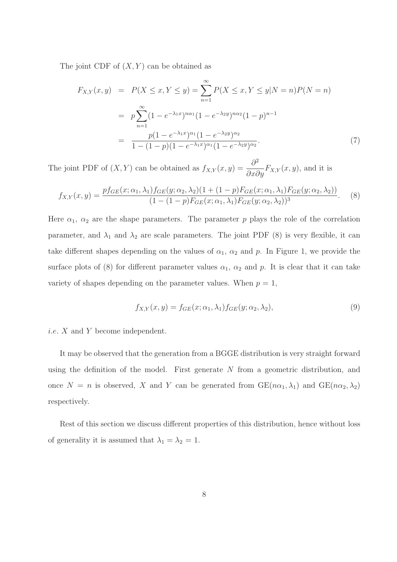The joint CDF of  $(X, Y)$  can be obtained as

$$
F_{X,Y}(x,y) = P(X \le x, Y \le y) = \sum_{n=1}^{\infty} P(X \le x, Y \le y | N = n) P(N = n)
$$
  
=  $p \sum_{n=1}^{\infty} (1 - e^{-\lambda_1 x})^{n\alpha_1} (1 - e^{-\lambda_2 y})^{n\alpha_2} (1 - p)^{n-1}$   
=  $\frac{p(1 - e^{-\lambda_1 x})^{\alpha_1} (1 - e^{-\lambda_2 y})^{\alpha_2}}{1 - (1 - p)(1 - e^{-\lambda_1 x})^{\alpha_1} (1 - e^{-\lambda_2 y})^{\alpha_2}}.$  (7)

The joint PDF of  $(X, Y)$  can be obtained as  $f_{X,Y}(x, y) = \frac{\partial^2}{\partial x \partial y}$  $\frac{\partial}{\partial x \partial y} F_{X,Y}(x, y)$ , and it is

$$
f_{X,Y}(x,y) = \frac{pf_{GE}(x;\alpha_1,\lambda_1)f_{GE}(y;\alpha_2,\lambda_2)(1+(1-p)F_{GE}(x;\alpha_1,\lambda_1)F_{GE}(y;\alpha_2,\lambda_2))}{(1-(1-p)F_{GE}(x;\alpha_1,\lambda_1)F_{GE}(y;\alpha_2,\lambda_2))^3}.
$$
 (8)

Here  $\alpha_1$ ,  $\alpha_2$  are the shape parameters. The parameter p plays the role of the correlation parameter, and  $\lambda_1$  and  $\lambda_2$  are scale parameters. The joint PDF (8) is very flexible, it can take different shapes depending on the values of  $\alpha_1$ ,  $\alpha_2$  and p. In Figure 1, we provide the surface plots of (8) for different parameter values  $\alpha_1$ ,  $\alpha_2$  and p. It is clear that it can take variety of shapes depending on the parameter values. When  $p = 1$ ,

$$
f_{X,Y}(x,y) = f_{GE}(x;\alpha_1,\lambda_1) f_{GE}(y;\alpha_2,\lambda_2),\tag{9}
$$

i.e. X and Y become independent.

It may be observed that the generation from a BGGE distribution is very straight forward using the definition of the model. First generate N from a geometric distribution, and once  $N = n$  is observed, X and Y can be generated from  $GE(n\alpha_1, \lambda_1)$  and  $GE(n\alpha_2, \lambda_2)$ respectively.

Rest of this section we discuss different properties of this distribution, hence without loss of generality it is assumed that  $\lambda_1 = \lambda_2 = 1$ .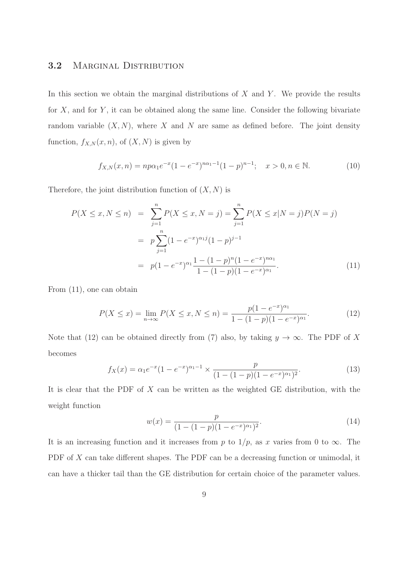### 3.2 MARGINAL DISTRIBUTION

In this section we obtain the marginal distributions of  $X$  and  $Y$ . We provide the results for  $X$ , and for  $Y$ , it can be obtained along the same line. Consider the following bivariate random variable  $(X, N)$ , where X and N are same as defined before. The joint density function,  $f_{X,N}(x, n)$ , of  $(X, N)$  is given by

$$
f_{X,N}(x,n) = np\alpha_1 e^{-x} (1 - e^{-x})^{n\alpha_1 - 1} (1 - p)^{n-1}; \quad x > 0, n \in \mathbb{N}.
$$
 (10)

Therefore, the joint distribution function of  $(X, N)$  is

$$
P(X \le x, N \le n) = \sum_{j=1}^{n} P(X \le x, N = j) = \sum_{j=1}^{n} P(X \le x | N = j) P(N = j)
$$
  
= 
$$
p \sum_{j=1}^{n} (1 - e^{-x})^{\alpha_1 j} (1 - p)^{j-1}
$$
  
= 
$$
p(1 - e^{-x})^{\alpha_1} \frac{1 - (1 - p)^n (1 - e^{-x})^{\alpha_1}}{1 - (1 - p)(1 - e^{-x})^{\alpha_1}}.
$$
 (11)

From (11), one can obtain

$$
P(X \le x) = \lim_{n \to \infty} P(X \le x, N \le n) = \frac{p(1 - e^{-x})^{\alpha_1}}{1 - (1 - p)(1 - e^{-x})^{\alpha_1}}.
$$
 (12)

Note that (12) can be obtained directly from (7) also, by taking  $y \to \infty$ . The PDF of X becomes

$$
f_X(x) = \alpha_1 e^{-x} (1 - e^{-x})^{\alpha_1 - 1} \times \frac{p}{(1 - (1 - p)(1 - e^{-x})^{\alpha_1})^2}.
$$
\n(13)

It is clear that the PDF of  $X$  can be written as the weighted GE distribution, with the weight function

$$
w(x) = \frac{p}{(1 - (1 - p)(1 - e^{-x})^{\alpha_1})^2}.
$$
\n(14)

It is an increasing function and it increases from p to  $1/p$ , as x varies from 0 to  $\infty$ . The PDF of X can take different shapes. The PDF can be a decreasing function or unimodal, it can have a thicker tail than the GE distribution for certain choice of the parameter values.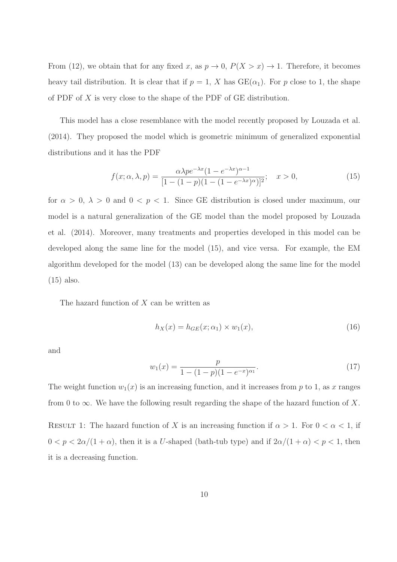From (12), we obtain that for any fixed x, as  $p \to 0$ ,  $P(X > x) \to 1$ . Therefore, it becomes heavy tail distribution. It is clear that if  $p = 1$ , X has  $GE(\alpha_1)$ . For p close to 1, the shape of PDF of X is very close to the shape of the PDF of GE distribution.

This model has a close resemblance with the model recently proposed by Louzada et al. (2014). They proposed the model which is geometric minimum of generalized exponential distributions and it has the PDF

$$
f(x; \alpha, \lambda, p) = \frac{\alpha \lambda p e^{-\lambda x} (1 - e^{-\lambda x})^{\alpha - 1}}{[1 - (1 - p)(1 - (1 - e^{-\lambda x})^{\alpha})]^2}; \quad x > 0,
$$
\n(15)

for  $\alpha > 0$ ,  $\lambda > 0$  and  $0 < p < 1$ . Since GE distribution is closed under maximum, our model is a natural generalization of the GE model than the model proposed by Louzada et al. (2014). Moreover, many treatments and properties developed in this model can be developed along the same line for the model (15), and vice versa. For example, the EM algorithm developed for the model (13) can be developed along the same line for the model (15) also.

The hazard function of  $X$  can be written as

$$
h_X(x) = h_{GE}(x; \alpha_1) \times w_1(x), \qquad (16)
$$

and

$$
w_1(x) = \frac{p}{1 - (1 - p)(1 - e^{-x})^{\alpha_1}}.\tag{17}
$$

The weight function  $w_1(x)$  is an increasing function, and it increases from p to 1, as x ranges from 0 to  $\infty$ . We have the following result regarding the shape of the hazard function of X.

RESULT 1: The hazard function of X is an increasing function if  $\alpha > 1$ . For  $0 < \alpha < 1$ , if  $0 < p < 2\alpha/(1+\alpha)$ , then it is a U-shaped (bath-tub type) and if  $2\alpha/(1+\alpha) < p < 1$ , then it is a decreasing function.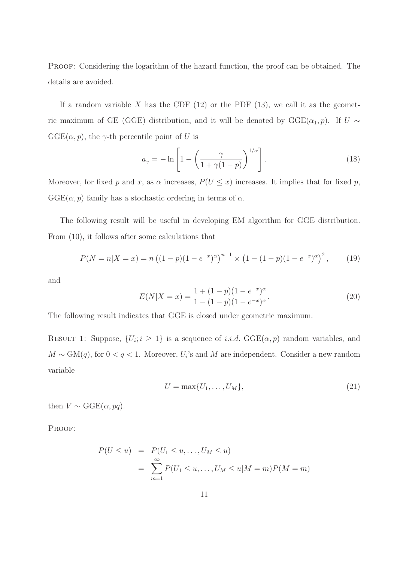PROOF: Considering the logarithm of the hazard function, the proof can be obtained. The details are avoided.

If a random variable X has the CDF  $(12)$  or the PDF  $(13)$ , we call it as the geometric maximum of GE (GGE) distribution, and it will be denoted by  $GGE(\alpha_1, p)$ . If  $U \sim$  $GGE(\alpha, p)$ , the  $\gamma$ -th percentile point of U is

$$
a_{\gamma} = -\ln\left[1 - \left(\frac{\gamma}{1 + \gamma(1 - p)}\right)^{1/\alpha}\right].
$$
\n(18)

Moreover, for fixed p and x, as  $\alpha$  increases,  $P(U \leq x)$  increases. It implies that for fixed p,  $GGE(\alpha, p)$  family has a stochastic ordering in terms of  $\alpha$ .

The following result will be useful in developing EM algorithm for GGE distribution. From (10), it follows after some calculations that

$$
P(N = n|X = x) = n\left((1 - p)(1 - e^{-x})^{\alpha}\right)^{n-1} \times \left(1 - (1 - p)(1 - e^{-x})^{\alpha}\right)^2, \tag{19}
$$

and

$$
E(N|X=x) = \frac{1 + (1 - p)(1 - e^{-x})^{\alpha}}{1 - (1 - p)(1 - e^{-x})^{\alpha}}.
$$
\n(20)

The following result indicates that GGE is closed under geometric maximum.

RESULT 1: Suppose,  $\{U_i; i \geq 1\}$  is a sequence of *i.i.d.*  $GGE(\alpha, p)$  random variables, and  $M \sim GM(q)$ , for  $0 < q < 1$ . Moreover,  $U_i$ 's and M are independent. Consider a new random variable

$$
U = \max\{U_1, \dots, U_M\},\tag{21}
$$

then  $V \sim \text{GGE}(\alpha, pq)$ .

PROOF:

$$
P(U \le u) = P(U_1 \le u, ..., U_M \le u)
$$
  
= 
$$
\sum_{m=1}^{\infty} P(U_1 \le u, ..., U_M \le u | M = m) P(M = m)
$$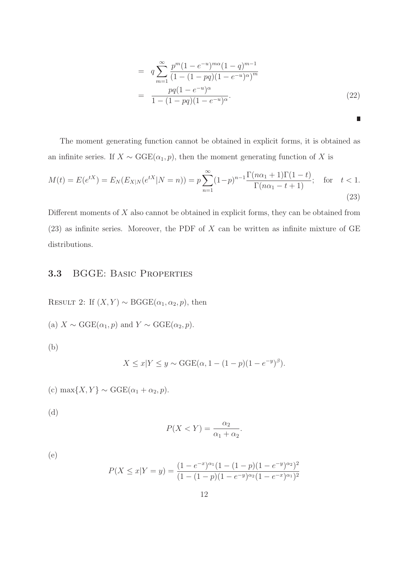$$
= q \sum_{m=1}^{\infty} \frac{p^m (1 - e^{-u})^{m\alpha} (1 - q)^{m-1}}{(1 - (1 - pq)(1 - e^{-u})^{\alpha})^m}
$$

$$
= \frac{pq (1 - e^{-u})^{\alpha}}{1 - (1 - pq)(1 - e^{-u})^{\alpha}}.
$$
(22)

Ľ

The moment generating function cannot be obtained in explicit forms, it is obtained as an infinite series. If  $X \sim \text{GGE}(\alpha_1, p)$ , then the moment generating function of X is

$$
M(t) = E(e^{tX}) = E_N(E_{X|N}(e^{tX}|N=n)) = p \sum_{n=1}^{\infty} (1-p)^{n-1} \frac{\Gamma(n\alpha_1 + 1)\Gamma(1-t)}{\Gamma(n\alpha_1 - t + 1)}; \text{ for } t < 1.
$$
\n(23)

Different moments of X also cannot be obtained in explicit forms, they can be obtained from  $(23)$  as infinite series. Moreover, the PDF of X can be written as infinite mixture of GE distributions.

### 3.3 BGGE: Basic Properties

RESULT 2: If  $(X, Y) \sim \text{BGGE}(\alpha_1, \alpha_2, p)$ , then

(a)  $X \sim \text{GGE}(\alpha_1, p)$  and  $Y \sim \text{GGE}(\alpha_2, p)$ .

(b)

$$
X \le x | Y \le y \sim \text{GGE}(\alpha, 1 - (1 - p)(1 - e^{-y})^{\beta}).
$$

(c) max $\{X, Y\} \sim \text{GGE}(\alpha_1 + \alpha_2, p).$ 

(d)

$$
P(X < Y) = \frac{\alpha_2}{\alpha_1 + \alpha_2}.
$$

(e)

$$
P(X \le x | Y = y) = \frac{(1 - e^{-x})^{\alpha_1}(1 - (1 - p)(1 - e^{-y})^{\alpha_2})^2}{(1 - (1 - p)(1 - e^{-y})^{\alpha_2}(1 - e^{-x})^{\alpha_1})^2}
$$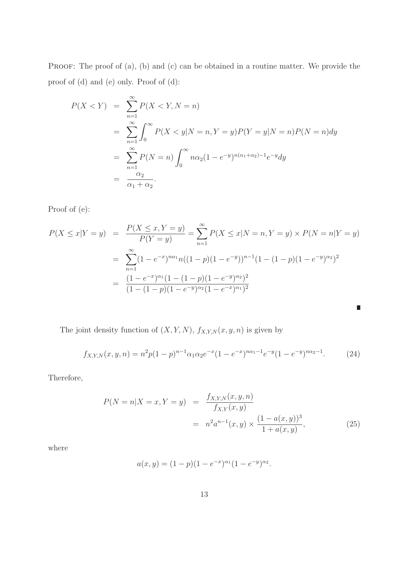PROOF: The proof of  $(a)$ ,  $(b)$  and  $(c)$  can be obtained in a routine matter. We provide the proof of (d) and (e) only. Proof of (d):

$$
P(X < Y) = \sum_{n=1}^{\infty} P(X < Y, N = n)
$$
  
= 
$$
\sum_{n=1}^{\infty} \int_{0}^{\infty} P(X < y | N = n, Y = y) P(Y = y | N = n) P(N = n) dy
$$
  
= 
$$
\sum_{n=1}^{\infty} P(N = n) \int_{0}^{\infty} n \alpha_{2} (1 - e^{-y})^{n(\alpha_{1} + \alpha_{2}) - 1} e^{-y} dy
$$
  
= 
$$
\frac{\alpha_{2}}{\alpha_{1} + \alpha_{2}}.
$$

Proof of (e):

$$
P(X \le x | Y = y) = \frac{P(X \le x, Y = y)}{P(Y = y)} = \sum_{n=1}^{\infty} P(X \le x | N = n, Y = y) \times P(N = n | Y = y)
$$
  
= 
$$
\sum_{n=1}^{\infty} (1 - e^{-x})^{n\alpha_1} n((1 - p)(1 - e^{-y}))^{n-1} (1 - (1 - p)(1 - e^{-y})^{\alpha_2})^2
$$
  
= 
$$
\frac{(1 - e^{-x})^{\alpha_1} (1 - (1 - p)(1 - e^{-y})^{\alpha_2})^2}{(1 - (1 - p)(1 - e^{-y})^{\alpha_2} (1 - e^{-x})^{\alpha_1})^2}
$$

The joint density function of  $(X, Y, N)$ ,  $f_{X,Y,N}(x, y, n)$  is given by

$$
f_{X,Y,N}(x,y,n) = n^2 p (1-p)^{n-1} \alpha_1 \alpha_2 e^{-x} (1-e^{-x})^{n\alpha_1-1} e^{-y} (1-e^{-y})^{n\alpha_2-1}.
$$
 (24)

Therefore,

$$
P(N = n|X = x, Y = y) = \frac{f_{X,Y,N}(x, y, n)}{f_{X,Y}(x, y)} = n^2 a^{n-1}(x, y) \times \frac{(1 - a(x, y))^3}{1 + a(x, y)},
$$
\n(25)

where

$$
a(x, y) = (1 - p)(1 - e^{-x})^{\alpha_1}(1 - e^{-y})^{\alpha_2}.
$$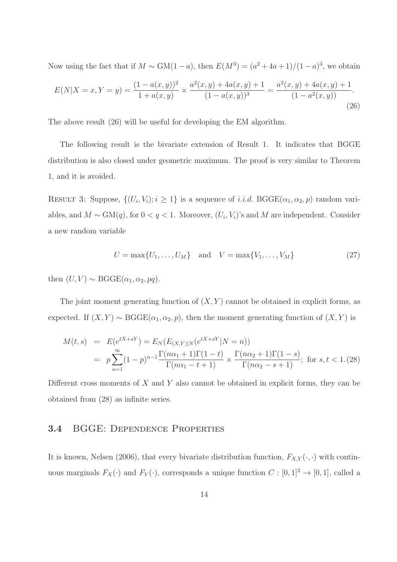Now using the fact that if  $M \sim GM(1-a)$ , then  $E(M^3) = (a^2 + 4a + 1)/(1-a)^3$ , we obtain

$$
E(N|X=x,Y=y) = \frac{(1-a(x,y))^2}{1+a(x,y)} \times \frac{a^2(x,y) + 4a(x,y) + 1}{(1-a(x,y))^3} = \frac{a^2(x,y) + 4a(x,y) + 1}{(1-a^2(x,y))}.
$$
\n(26)

The above result (26) will be useful for developing the EM algorithm.

The following result is the bivariate extension of Result 1. It indicates that BGGE distribution is also closed under geometric maximum. The proof is very similar to Theorem 1, and it is avoided.

RESULT 3: Suppose,  $\{(U_i, V_i); i \geq 1\}$  is a sequence of *i.i.d.* BGGE( $\alpha_1, \alpha_2, p$ ) random variables, and  $M \sim GM(q)$ , for  $0 < q < 1$ . Moreover,  $(U_i, V_i)$ 's and M are independent. Consider a new random variable

$$
U = \max\{U_1, \dots, U_M\} \text{ and } V = \max\{V_1, \dots, V_M\}
$$
 (27)

then  $(U, V) \sim \text{BGGE}(\alpha_1, \alpha_2, pq)$ .

The joint moment generating function of  $(X, Y)$  cannot be obtained in explicit forms, as expected. If  $(X, Y) \sim \text{BGGE}(\alpha_1, \alpha_2, p)$ , then the moment generating function of  $(X, Y)$  is

$$
M(t,s) = E(e^{tX+sY}) = E_N(E_{(X,Y)|N}(e^{tX+sY}|N=n))
$$
  
=  $p \sum_{n=1}^{\infty} (1-p)^{n-1} \frac{\Gamma(n\alpha_1+1)\Gamma(1-t)}{\Gamma(n\alpha_1-t+1)} \times \frac{\Gamma(n\alpha_2+1)\Gamma(1-s)}{\Gamma(n\alpha_2-s+1)};$  for  $s, t < 1$ . (28)

Different cross moments of  $X$  and  $Y$  also cannot be obtained in explicit forms, they can be obtained from (28) as infinite series.

### 3.4 BGGE: Dependence Properties

It is known, Nelsen (2006), that every bivariate distribution function,  $F_{X,Y}(\cdot, \cdot)$  with continuous marginals  $F_X(\cdot)$  and  $F_Y(\cdot)$ , corresponds a unique function  $C : [0,1]^2 \to [0,1]$ , called a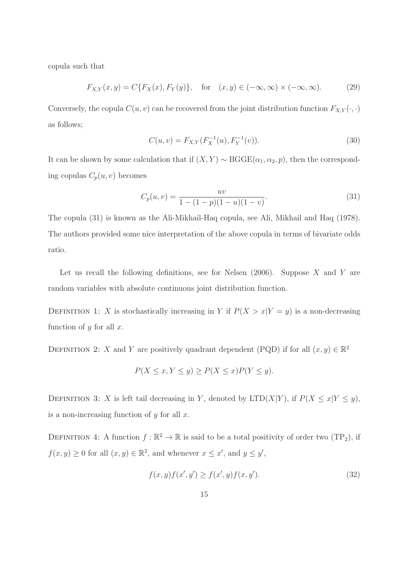copula such that

$$
F_{X,Y}(x,y) = C\{F_X(x), F_Y(y)\}, \quad \text{for} \quad (x,y) \in (-\infty, \infty) \times (-\infty, \infty). \tag{29}
$$

Conversely, the copula  $C(u, v)$  can be recovered from the joint distribution function  $F_{X,Y}(\cdot, \cdot)$ as follows;

$$
C(u, v) = F_{X,Y}(F_X^{-1}(u), F_Y^{-1}(v)).
$$
\n(30)

It can be shown by some calculation that if  $(X, Y) \sim B GGE(\alpha_1, \alpha_2, p)$ , then the corresponding copulas  $C_p(u, v)$  becomes

$$
C_p(u,v) = \frac{uv}{1 - (1 - p)(1 - u)(1 - v)}.
$$
\n(31)

The copula (31) is known as the Ali-Mikhail-Haq copula, see Ali, Mikhail and Haq (1978). The authors provided some nice interpretation of the above copula in terms of bivariate odds ratio.

Let us recall the following definitions, see for Nelsen  $(2006)$ . Suppose X and Y are random variables with absolute continuous joint distribution function.

DEFINITION 1: X is stochastically increasing in Y if  $P(X > x|Y = y)$  is a non-decreasing function of  $y$  for all  $x$ .

DEFINITION 2: X and Y are positively quadrant dependent (PQD) if for all  $(x, y) \in \mathbb{R}^2$ 

$$
P(X \le x, Y \le y) \ge P(X \le x)P(Y \le y).
$$

DEFINITION 3: X is left tail decreasing in Y, denoted by  $LTD(X|Y)$ , if  $P(X \le x|Y \le y)$ , is a non-increasing function of  $y$  for all  $x$ .

DEFINITION 4: A function  $f : \mathbb{R}^2 \to \mathbb{R}$  is said to be a total positivity of order two (TP<sub>2</sub>), if  $f(x, y) \ge 0$  for all  $(x, y) \in \mathbb{R}^2$ , and whenever  $x \le x'$ , and  $y \le y'$ ,

$$
f(x, y)f(x', y') \ge f(x', y)f(x, y').
$$
\n(32)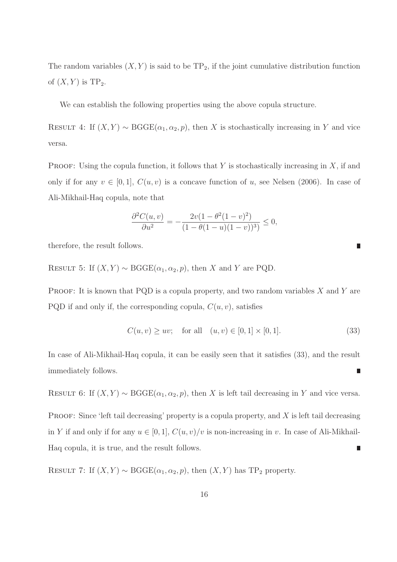The random variables  $(X, Y)$  is said to be  $TP_2$ , if the joint cumulative distribution function of  $(X, Y)$  is TP<sub>2</sub>.

We can establish the following properties using the above copula structure.

RESULT 4: If  $(X, Y) \sim \text{BGGE}(\alpha_1, \alpha_2, p)$ , then X is stochastically increasing in Y and vice versa.

**PROOF:** Using the copula function, it follows that Y is stochastically increasing in  $X$ , if and only if for any  $v \in [0, 1]$ ,  $C(u, v)$  is a concave function of u, see Nelsen (2006). In case of Ali-Mikhail-Haq copula, note that

$$
\frac{\partial^2 C(u,v)}{\partial u^2} = -\frac{2v(1-\theta^2(1-v)^2)}{(1-\theta(1-u)(1-v))^3)} \le 0,
$$

therefore, the result follows.

RESULT 5: If  $(X, Y) \sim \text{BGGE}(\alpha_1, \alpha_2, p)$ , then X and Y are PQD.

PROOF: It is known that PQD is a copula property, and two random variables  $X$  and  $Y$  are PQD if and only if, the corresponding copula,  $C(u, v)$ , satisfies

$$
C(u, v) \ge uv; \text{ for all } (u, v) \in [0, 1] \times [0, 1].
$$
 (33)

П

In case of Ali-Mikhail-Haq copula, it can be easily seen that it satisfies (33), and the result immediately follows. Π

RESULT 6: If  $(X, Y) \sim \text{BGGE}(\alpha_1, \alpha_2, p)$ , then X is left tail decreasing in Y and vice versa.

PROOF: Since 'left tail decreasing' property is a copula property, and  $X$  is left tail decreasing in Y if and only if for any  $u \in [0, 1]$ ,  $C(u, v)/v$  is non-increasing in v. In case of Ali-Mikhail-Haq copula, it is true, and the result follows. П

RESULT 7: If  $(X, Y) \sim \text{BGGE}(\alpha_1, \alpha_2, p)$ , then  $(X, Y)$  has TP<sub>2</sub> property.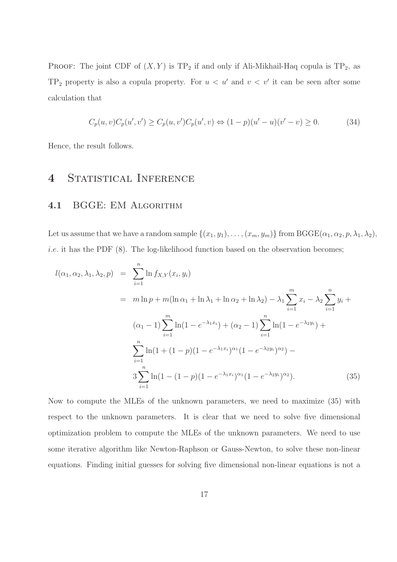PROOF: The joint CDF of  $(X, Y)$  is TP<sub>2</sub> if and only if Ali-Mikhail-Haq copula is TP<sub>2</sub>, as  $TP_2$  property is also a copula property. For  $u < u'$  and  $v < v'$  it can be seen after some calculation that

$$
C_p(u, v)C_p(u', v') \ge C_p(u, v')C_p(u', v) \Leftrightarrow (1 - p)(u' - u)(v' - v) \ge 0.
$$
 (34)

Hence, the result follows.

### 4 STATISTICAL INFERENCE

#### 4.1 BGGE: EM Algorithm

Let us assume that we have a random sample  $\{(x_1, y_1), \ldots, (x_m, y_m)\}$  from BGGE $(\alpha_1, \alpha_2, p, \lambda_1, \lambda_2)$ , *i.e.* it has the PDF  $(8)$ . The log-likelihood function based on the observation becomes;

$$
l(\alpha_1, \alpha_2, \lambda_1, \lambda_2, p) = \sum_{i=1}^n \ln f_{X,Y}(x_i, y_i)
$$
  
=  $m \ln p + m(\ln \alpha_1 + \ln \lambda_1 + \ln \alpha_2 + \ln \lambda_2) - \lambda_1 \sum_{i=1}^m x_i - \lambda_2 \sum_{i=1}^n y_i +$   

$$
(\alpha_1 - 1) \sum_{i=1}^m \ln(1 - e^{-\lambda_1 x_i}) + (\alpha_2 - 1) \sum_{i=1}^n \ln(1 - e^{-\lambda_2 y_i}) +
$$
  

$$
\sum_{i=1}^n \ln(1 + (1 - p)(1 - e^{-\lambda_1 x_i})^{\alpha_1} (1 - e^{-\lambda_2 y_i})^{\alpha_2}) -
$$
  

$$
3 \sum_{i=1}^n \ln(1 - (1 - p)(1 - e^{-\lambda_1 x_i})^{\alpha_1} (1 - e^{-\lambda_2 y_i})^{\alpha_2}).
$$
 (35)

Now to compute the MLEs of the unknown parameters, we need to maximize (35) with respect to the unknown parameters. It is clear that we need to solve five dimensional optimization problem to compute the MLEs of the unknown parameters. We need to use some iterative algorithm like Newton-Raphson or Gauss-Newton, to solve these non-linear equations. Finding initial guesses for solving five dimensional non-linear equations is not a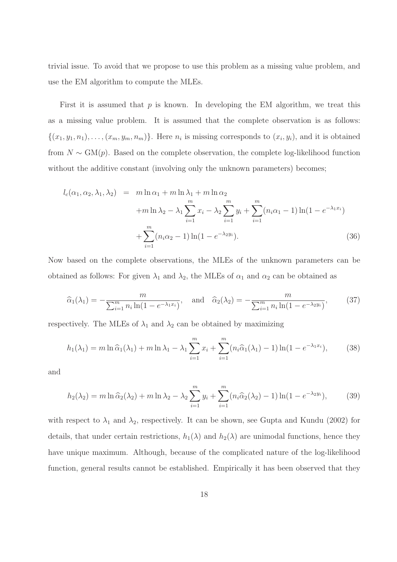trivial issue. To avoid that we propose to use this problem as a missing value problem, and use the EM algorithm to compute the MLEs.

First it is assumed that  $p$  is known. In developing the EM algorithm, we treat this as a missing value problem. It is assumed that the complete observation is as follows:  $\{(x_1,y_1,n_1),\ldots,(x_m,y_m,n_m)\}\.$  Here  $n_i$  is missing corresponds to  $(x_i,y_i)$ , and it is obtained from  $N \sim GM(p)$ . Based on the complete observation, the complete log-likelihood function without the additive constant (involving only the unknown parameters) becomes;

$$
l_c(\alpha_1, \alpha_2, \lambda_1, \lambda_2) = m \ln \alpha_1 + m \ln \lambda_1 + m \ln \alpha_2
$$
  
+ 
$$
m \ln \lambda_2 - \lambda_1 \sum_{i=1}^m x_i - \lambda_2 \sum_{i=1}^m y_i + \sum_{i=1}^m (n_i \alpha_1 - 1) \ln (1 - e^{-\lambda_1 x_i})
$$
  
+ 
$$
\sum_{i=1}^m (n_i \alpha_2 - 1) \ln (1 - e^{-\lambda_2 y_i}).
$$
 (36)

Now based on the complete observations, the MLEs of the unknown parameters can be obtained as follows: For given  $\lambda_1$  and  $\lambda_2$ , the MLEs of  $\alpha_1$  and  $\alpha_2$  can be obtained as

$$
\widehat{\alpha}_1(\lambda_1) = -\frac{m}{\sum_{i=1}^m n_i \ln(1 - e^{-\lambda_1 x_i})}, \text{ and } \widehat{\alpha}_2(\lambda_2) = -\frac{m}{\sum_{i=1}^m n_i \ln(1 - e^{-\lambda_2 y_i})}, \quad (37)
$$

respectively. The MLEs of  $\lambda_1$  and  $\lambda_2$  can be obtained by maximizing

$$
h_1(\lambda_1) = m \ln \widehat{\alpha}_1(\lambda_1) + m \ln \lambda_1 - \lambda_1 \sum_{i=1}^m x_i + \sum_{i=1}^m (n_i \widehat{\alpha}_1(\lambda_1) - 1) \ln(1 - e^{-\lambda_1 x_i}), \tag{38}
$$

and

$$
h_2(\lambda_2) = m \ln \widehat{\alpha}_2(\lambda_2) + m \ln \lambda_2 - \lambda_2 \sum_{i=1}^m y_i + \sum_{i=1}^m (n_i \widehat{\alpha}_2(\lambda_2) - 1) \ln(1 - e^{-\lambda_2 y_i}),\tag{39}
$$

with respect to  $\lambda_1$  and  $\lambda_2$ , respectively. It can be shown, see Gupta and Kundu (2002) for details, that under certain restrictions,  $h_1(\lambda)$  and  $h_2(\lambda)$  are unimodal functions, hence they have unique maximum. Although, because of the complicated nature of the log-likelihood function, general results cannot be established. Empirically it has been observed that they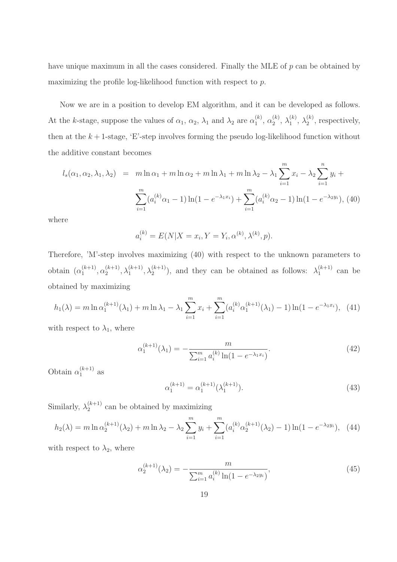have unique maximum in all the cases considered. Finally the MLE of p can be obtained by maximizing the profile log-likelihood function with respect to p.

Now we are in a position to develop EM algorithm, and it can be developed as follows. At the k-stage, suppose the values of  $\alpha_1, \alpha_2, \lambda_1$  and  $\lambda_2$  are  $\alpha_1^{(k)}$  $\binom{k}{1}, \ \alpha_2^{(k)}$  $\lambda_2^{(k)},\,\lambda_1^{(k)}$  $\lambda_1^{(k)}, \lambda_2^{(k)}$  $2^{(\kappa)}$ , respectively, then at the  $k+1$ -stage, 'E'-step involves forming the pseudo log-likelihood function without the additive constant becomes

$$
l_s(\alpha_1, \alpha_2, \lambda_1, \lambda_2) = m \ln \alpha_1 + m \ln \alpha_2 + m \ln \lambda_1 + m \ln \lambda_2 - \lambda_1 \sum_{i=1}^m x_i - \lambda_2 \sum_{i=1}^n y_i + \sum_{i=1}^m (a_i^{(k)} \alpha_1 - 1) \ln(1 - e^{-\lambda_1 x_i}) + \sum_{i=1}^m (a_i^{(k)} \alpha_2 - 1) \ln(1 - e^{-\lambda_2 y_i}),
$$
(40)

where

$$
a_i^{(k)} = E(N|X = x_i, Y = Y_i, \alpha^{(k)}, \lambda^{(k)}, p).
$$

Therefore, 'M'-step involves maximizing (40) with respect to the unknown parameters to obtain  $(\alpha_1^{(k+1)})$  $\alpha_1^{(k+1)}, \alpha_2^{(k+1)}$  $\lambda_1^{(k+1)}, \lambda_1^{(k+1)}, \lambda_2^{(k+1)}$ , and they can be obtained as follows:  $\lambda_1^{(k+1)}$  $\int_{1}^{(\kappa+1)}$  can be obtained by maximizing

$$
h_1(\lambda) = m \ln \alpha_1^{(k+1)}(\lambda_1) + m \ln \lambda_1 - \lambda_1 \sum_{i=1}^m x_i + \sum_{i=1}^m (a_i^{(k)} \alpha_1^{(k+1)}(\lambda_1) - 1) \ln(1 - e^{-\lambda_1 x_i}), \tag{41}
$$

with respect to  $\lambda_1$ , where

$$
\alpha_1^{(k+1)}(\lambda_1) = -\frac{m}{\sum_{i=1}^m a_i^{(k)} \ln(1 - e^{-\lambda_1 x_i})}.
$$
\n(42)

Obtain  $\alpha_1^{(k+1)}$  $\int_1^{(\kappa+1)}$  as

$$
\alpha_1^{(k+1)} = \alpha_1^{(k+1)}(\lambda_1^{(k+1)}).
$$
\n(43)

Similarly,  $\lambda_2^{(k+1)}$  $2^{k+1}$  can be obtained by maximizing

$$
h_2(\lambda) = m \ln \alpha_2^{(k+1)}(\lambda_2) + m \ln \lambda_2 - \lambda_2 \sum_{i=1}^m y_i + \sum_{i=1}^m (a_i^{(k)} \alpha_2^{(k+1)}(\lambda_2) - 1) \ln(1 - e^{-\lambda_2 y_i}), \tag{44}
$$

with respect to  $\lambda_2$ , where

$$
\alpha_2^{(k+1)}(\lambda_2) = -\frac{m}{\sum_{i=1}^m a_i^{(k)} \ln(1 - e^{-\lambda_2 y_i})},\tag{45}
$$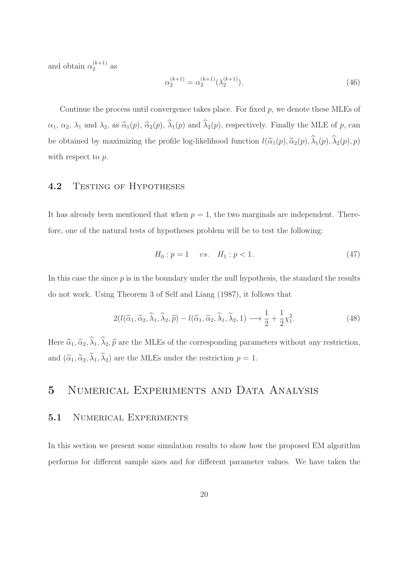and obtain  $\alpha_2^{(k+1)}$  $\frac{(\kappa+1)}{2}$  as

$$
\alpha_2^{(k+1)} = \alpha_2^{(k+1)}(\lambda_2^{(k+1)}).
$$
\n(46)

Continue the process until convergence takes place. For fixed  $p$ , we denote these MLEs of  $\alpha_1, \alpha_2, \lambda_1$  and  $\lambda_2$ , as  $\widehat{\alpha}_1(p), \widehat{\alpha}_2(p), \widehat{\lambda}_1(p)$  and  $\widehat{\lambda}_2(p)$ , respectively. Finally the MLE of p, can be obtained by maximizing the profile log-likelihood function  $l(\widehat{\alpha}_1(p), \widehat{\alpha}_2(p), \widehat{\lambda}_1(p), \widehat{\lambda}_2(p), p)$ with respect to  $p$ .

#### 4.2 TESTING OF HYPOTHESES

It has already been mentioned that when  $p = 1$ , the two marginals are independent. Therefore, one of the natural tests of hypotheses problem will be to test the following:

$$
H_0: p = 1 \quad vs. \quad H_1: p < 1. \tag{47}
$$

In this case the since  $p$  is in the boundary under the null hypothesis, the standard the results do not work. Using Theorem 3 of Self and Liang (1987), it follows that

$$
2(l(\widehat{\alpha}_1, \widehat{\alpha}_2, \widehat{\lambda}_1, \widehat{\lambda}_2, \widehat{p}) - l(\widetilde{\alpha}_1, \widetilde{\alpha}_2, \widetilde{\lambda}_1, \widetilde{\lambda}_2, 1) \longrightarrow \frac{1}{2} + \frac{1}{2}\chi_1^2.
$$
 (48)

Here  $\widehat{\alpha}_1, \widehat{\alpha}_2, \widehat{\lambda}_1, \widehat{\lambda}_2, \widehat{p}$  are the MLEs of the corresponding parameters without any restriction, and  $(\tilde{\alpha}_1, \tilde{\alpha}_2, \tilde{\lambda}_1, \tilde{\lambda}_2)$  are the MLEs under the restriction  $p = 1$ .

### 5 Numerical Experiments and Data Analysis

### 5.1 NUMERICAL EXPERIMENTS

In this section we present some simulation results to show how the proposed EM algorithm performs for different sample sizes and for different parameter values. We have taken the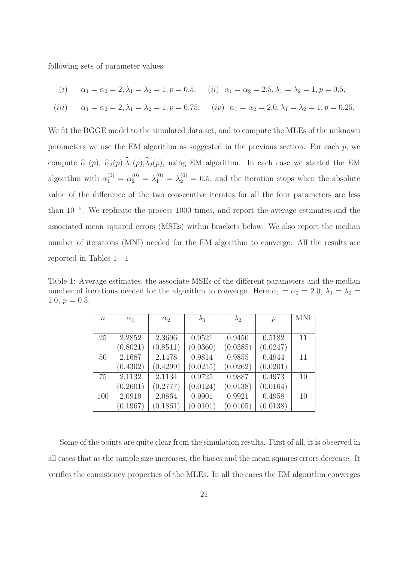following sets of parameter values

(i) 
$$
\alpha_1 = \alpha_2 = 2, \lambda_1 = \lambda_2 = 1, p = 0.5,
$$
 (ii)  $\alpha_1 = \alpha_2 = 2.5, \lambda_1 = \lambda_2 = 1, p = 0.5,$ 

(*iii*) 
$$
\alpha_1 = \alpha_2 = 2, \lambda_1 = \lambda_2 = 1, p = 0.75,
$$
 (*iv*)  $\alpha_1 = \alpha_2 = 2.0, \lambda_1 = \lambda_2 = 1, p = 0.25,$ 

We fit the BGGE model to the simulated data set, and to compute the MLEs of the unknown parameters we use the EM algorithm as suggested in the previous section. For each p, we compute  $\hat{\alpha}_1(p), \hat{\alpha}_2(p),\hat{\lambda}_1(p),\hat{\lambda}_2(p)$ , using EM algorithm. In each case we started the EM algorithm with  $\alpha_1^{(0)} = \alpha_2^{(0)} = \lambda_1^{(0)} = \lambda_2^{(0)} = 0.5$ , and the iteration stops when the absolute value of the difference of the two consecutive iterates for all the four parameters are less than 10<sup>−</sup><sup>5</sup> . We replicate the process 1000 times, and report the average estimates and the associated mean squared errors (MSEs) within brackets below. We also report the median number of iterations (MNI) needed for the EM algorithm to converge. All the results are reported in Tables 1 - 1

Table 1: Average estimates, the associate MSEs of the different parameters and the median number of iterations needed for the algorithm to converge. Here  $\alpha_1 = \alpha_2 = 2.0, \lambda_1 = \lambda_2 =$ 1.0,  $p = 0.5$ .

| $\, n$ | $\alpha_1$ | $\alpha_2$ | $\lambda_1$ | $\lambda_2$ | $\mathcal{p}$ | <b>MNI</b> |
|--------|------------|------------|-------------|-------------|---------------|------------|
|        |            |            |             |             |               |            |
| 25     | 2.2852     | 2.3696     | 0.9521      | 0.9450      | 0.5182        | 11         |
|        | (0.8021)   | (0.8511)   | (0.0360)    | (0.0385)    | (0.0247)      |            |
| 50     | 2.1687     | 2.1478     | 0.9814      | 0.9855      | 0.4944        | 11         |
|        | (0.4302)   | (0.4299)   | (0.0215)    | (0.0262)    | (0.0201)      |            |
| 75     | 2.1132     | 2.1134     | 0.9725      | 0.9887      | 0.4973        | 10         |
|        | (0.2601)   | (0.2777)   | (0.0124)    | (0.0138)    | (0.0164)      |            |
| 100    | 2.0919     | 2.0864     | 0.9901      | 0.9921      | 0.4958        | 10         |
|        | (0.1967)   | (0.1861)   | (0.0101)    | (0.0105)    | (0.0138)      |            |

Some of the points are quite clear from the simulation results. First of all, it is observed in all cases that as the sample size increases, the biases and the mean squares errors decrease. It verifies the consistency properties of the MLEs. In all the cases the EM algorithm converges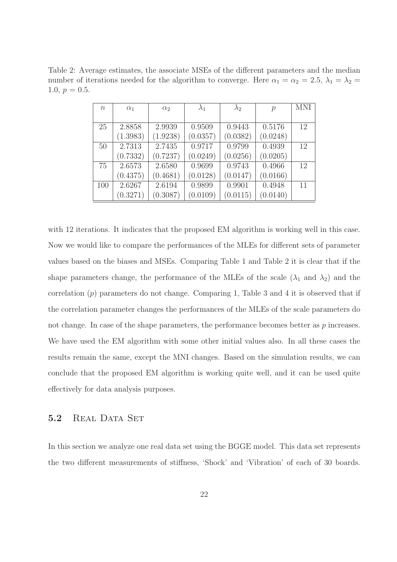Table 2: Average estimates, the associate MSEs of the different parameters and the median number of iterations needed for the algorithm to converge. Here  $\alpha_1 = \alpha_2 = 2.5$ ,  $\lambda_1 = \lambda_2 =$ 1.0,  $p = 0.5$ .

| $n_{\rm c}$ | $\alpha_1$ | $\alpha_2$ | $\lambda_1$ | $\lambda_2$ | $\mathcal{p}$ | <b>MNI</b> |
|-------------|------------|------------|-------------|-------------|---------------|------------|
|             |            |            |             |             |               |            |
| 25          | 2.8858     | 2.9939     | 0.9509      | 0.9443      | 0.5176        | 12         |
|             | (1.3983)   | (1.9238)   | (0.0357)    | (0.0382)    | (0.0248)      |            |
| 50          | 2.7313     | 2.7435     | 0.9717      | 0.9799      | 0.4939        | 12         |
|             | (0.7332)   | (0.7237)   | (0.0249)    | (0.0256)    | (0.0205)      |            |
| 75          | 2.6573     | 2.6580     | 0.9699      | 0.9743      | 0.4966        | 12         |
|             | (0.4375)   | (0.4681)   | (0.0128)    | (0.0147)    | (0.0166)      |            |
| 100         | 2.6267     | 2.6194     | 0.9899      | 0.9901      | 0.4948        | 11         |
|             | (0.3271)   | (0.3087)   | (0.0109)    | (0.0115)    | (0.0140)      |            |

with 12 iterations. It indicates that the proposed EM algorithm is working well in this case. Now we would like to compare the performances of the MLEs for different sets of parameter values based on the biases and MSEs. Comparing Table 1 and Table 2 it is clear that if the shape parameters change, the performance of the MLEs of the scale  $(\lambda_1 \text{ and } \lambda_2)$  and the correlation  $(p)$  parameters do not change. Comparing 1, Table 3 and 4 it is observed that if the correlation parameter changes the performances of the MLEs of the scale parameters do not change. In case of the shape parameters, the performance becomes better as p increases. We have used the EM algorithm with some other initial values also. In all these cases the results remain the same, except the MNI changes. Based on the simulation results, we can conclude that the proposed EM algorithm is working quite well, and it can be used quite effectively for data analysis purposes.

#### 5.2 REAL DATA SET

In this section we analyze one real data set using the BGGE model. This data set represents the two different measurements of stiffness, 'Shock' and 'Vibration' of each of 30 boards.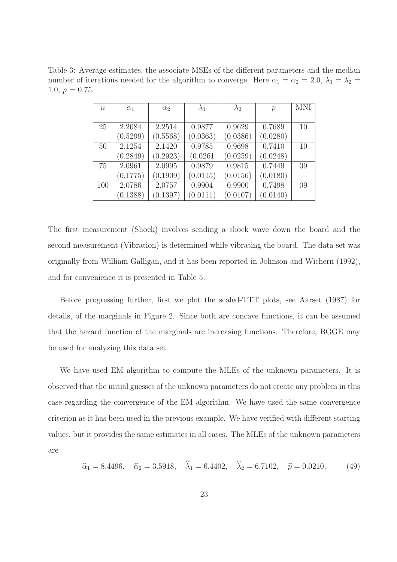Table 3: Average estimates, the associate MSEs of the different parameters and the median number of iterations needed for the algorithm to converge. Here  $\alpha_1 = \alpha_2 = 2.0, \lambda_1 = \lambda_2 =$ 1.0,  $p = 0.75$ .

| $\, n$ | $\alpha_1$ | $\alpha_2$ | $\lambda_1$ | $\lambda_2$ | $\mathcal{p}$ | <b>MNI</b> |
|--------|------------|------------|-------------|-------------|---------------|------------|
|        |            |            |             |             |               |            |
| 25     | 2.2084     | 2.2514     | 0.9877      | 0.9629      | 0.7689        | 10         |
|        | (0.5299)   | (0.5568)   | (0.0363)    | (0.0386)    | (0.0280)      |            |
| 50     | 2.1254     | 2.1420     | 0.9785      | 0.9698      | 0.7410        | 10         |
|        | (0.2849)   | (0.2923)   | (0.0261)    | (0.0259)    | (0.0248)      |            |
| 75     | 2.0961     | 2.0995     | 0.9879      | 0.9815      | 0.7449        | 09         |
|        | (0.1775)   | (0.1909)   | (0.0115)    | (0.0156)    | (0.0180)      |            |
| 100    | 2.0786     | 2.0757     | 0.9904      | 0.9900      | 0.7498        | 09         |
|        | (0.1388)   | (0.1397)   | (0.0111)    | (0.0107)    | (0.0140)      |            |

The first measurement (Shock) involves sending a shock wave down the board and the second measurement (Vibration) is determined while vibrating the board. The data set was originally from William Galligan, and it has been reported in Johnson and Wichern (1992), and for convenience it is presented in Table 5.

Before progressing further, first we plot the scaled-TTT plots, see Aarset (1987) for details, of the marginals in Figure 2. Since both are concave functions, it can be assumed that the hazard function of the marginals are increasing functions. Therefore, BGGE may be used for analyzing this data set.

We have used EM algorithm to compute the MLEs of the unknown parameters. It is observed that the initial guesses of the unknown parameters do not create any problem in this case regarding the convergence of the EM algorithm. We have used the same convergence criterion as it has been used in the previous example. We have verified with different starting values, but it provides the same estimates in all cases. The MLEs of the unknown parameters are

$$
\hat{\alpha}_1 = 8.4496, \quad \hat{\alpha}_2 = 3.5918, \quad \lambda_1 = 6.4402, \quad \lambda_2 = 6.7102, \quad \hat{p} = 0.0210,
$$
\n(49)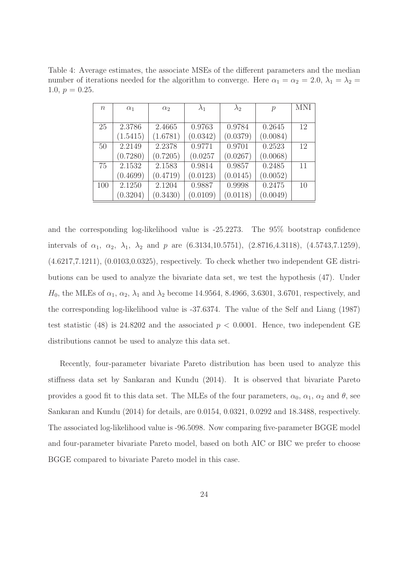Table 4: Average estimates, the associate MSEs of the different parameters and the median number of iterations needed for the algorithm to converge. Here  $\alpha_1 = \alpha_2 = 2.0, \lambda_1 = \lambda_2 =$ 1.0,  $p = 0.25$ .

| $\, n$ | $\alpha_1$ | $\alpha_2$ | $\lambda_1$ | $\lambda_2$ | $\mathcal{p}$ | <b>MNI</b> |
|--------|------------|------------|-------------|-------------|---------------|------------|
|        |            |            |             |             |               |            |
| 25     | 2.3786     | 2.4665     | 0.9763      | 0.9784      | 0.2645        | 12         |
|        | (1.5415)   | (1.6781)   | (0.0342)    | (0.0379)    | (0.0084)      |            |
| 50     | 2.2149     | 2.2378     | 0.9771      | 0.9701      | 0.2523        | 12         |
|        | (0.7280)   | (0.7205)   | (0.0257)    | (0.0267)    | (0.0068)      |            |
| 75     | 2.1532     | 2.1583     | 0.9814      | 0.9857      | 0.2485        | 11         |
|        | (0.4699)   | (0.4719)   | (0.0123)    | (0.0145)    | (0.0052)      |            |
| 100    | 2.1250     | 2.1204     | 0.9887      | 0.9998      | 0.2475        | 10         |
|        | (0.3204)   | (0.3430)   | (0.0109)    | (0.0118)    | (0.0049)      |            |

and the corresponding log-likelihood value is -25.2273. The 95% bootstrap confidence intervals of  $\alpha_1$ ,  $\alpha_2$ ,  $\lambda_1$ ,  $\lambda_2$  and p are (6.3134,10.5751), (2.8716,4.3118), (4.5743,7.1259), (4.6217,7.1211), (0.0103,0.0325), respectively. To check whether two independent GE distributions can be used to analyze the bivariate data set, we test the hypothesis (47). Under  $H_0$ , the MLEs of  $\alpha_1, \alpha_2, \lambda_1$  and  $\lambda_2$  become 14.9564, 8.4966, 3.6301, 3.6701, respectively, and the corresponding log-likelihood value is -37.6374. The value of the Self and Liang (1987) test statistic (48) is 24.8202 and the associated  $p < 0.0001$ . Hence, two independent GE distributions cannot be used to analyze this data set.

Recently, four-parameter bivariate Pareto distribution has been used to analyze this stiffness data set by Sankaran and Kundu (2014). It is observed that bivariate Pareto provides a good fit to this data set. The MLEs of the four parameters,  $\alpha_0$ ,  $\alpha_1$ ,  $\alpha_2$  and  $\theta$ , see Sankaran and Kundu (2014) for details, are 0.0154, 0.0321, 0.0292 and 18.3488, respectively. The associated log-likelihood value is -96.5098. Now comparing five-parameter BGGE model and four-parameter bivariate Pareto model, based on both AIC or BIC we prefer to choose BGGE compared to bivariate Pareto model in this case.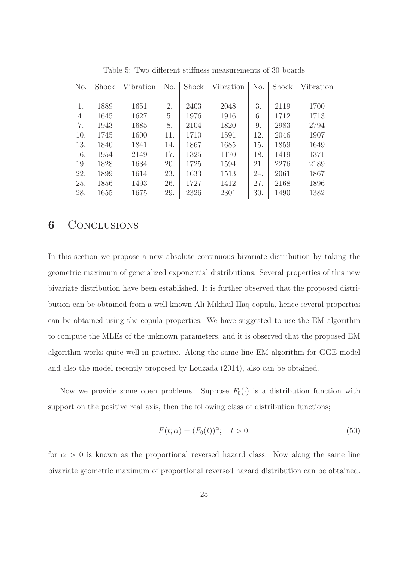| No. | Shock | Vibration | No. | Shock | Vibration | No. | Shock | Vibration |
|-----|-------|-----------|-----|-------|-----------|-----|-------|-----------|
|     |       |           |     |       |           |     |       |           |
| 1.  | 1889  | 1651      | 2.  | 2403  | 2048      | 3.  | 2119  | 1700      |
| 4.  | 1645  | 1627      | 5.  | 1976  | 1916      | 6.  | 1712  | 1713      |
| 7.  | 1943  | 1685      | 8.  | 2104  | 1820      | 9.  | 2983  | 2794      |
| 10. | 1745  | 1600      | 11. | 1710  | 1591      | 12. | 2046  | 1907      |
| 13. | 1840  | 1841      | 14. | 1867  | 1685      | 15. | 1859  | 1649      |
| 16. | 1954  | 2149      | 17. | 1325  | 1170      | 18. | 1419  | 1371      |
| 19. | 1828  | 1634      | 20. | 1725  | 1594      | 21. | 2276  | 2189      |
| 22. | 1899  | 1614      | 23. | 1633  | 1513      | 24. | 2061  | 1867      |
| 25. | 1856  | 1493      | 26. | 1727  | 1412      | 27. | 2168  | 1896      |
| 28. | 1655  | 1675      | 29. | 2326  | 2301      | 30. | 1490  | 1382      |

Table 5: Two different stiffness measurements of 30 boards

### 6 CONCLUSIONS

In this section we propose a new absolute continuous bivariate distribution by taking the geometric maximum of generalized exponential distributions. Several properties of this new bivariate distribution have been established. It is further observed that the proposed distribution can be obtained from a well known Ali-Mikhail-Haq copula, hence several properties can be obtained using the copula properties. We have suggested to use the EM algorithm to compute the MLEs of the unknown parameters, and it is observed that the proposed EM algorithm works quite well in practice. Along the same line EM algorithm for GGE model and also the model recently proposed by Louzada (2014), also can be obtained.

Now we provide some open problems. Suppose  $F_0(\cdot)$  is a distribution function with support on the positive real axis, then the following class of distribution functions;

$$
F(t; \alpha) = (F_0(t))^{\alpha}; \quad t > 0,
$$
\n
$$
(50)
$$

for  $\alpha > 0$  is known as the proportional reversed hazard class. Now along the same line bivariate geometric maximum of proportional reversed hazard distribution can be obtained.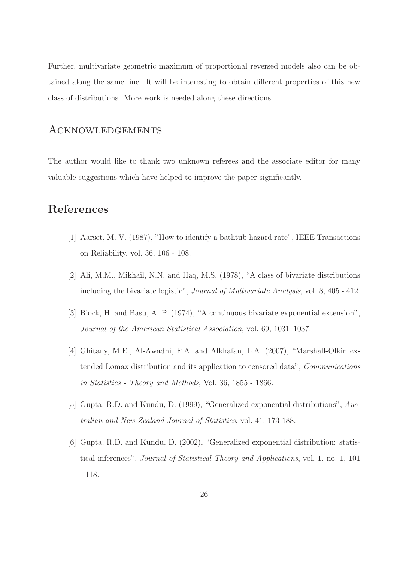Further, multivariate geometric maximum of proportional reversed models also can be obtained along the same line. It will be interesting to obtain different properties of this new class of distributions. More work is needed along these directions.

### Acknowledgements

The author would like to thank two unknown referees and the associate editor for many valuable suggestions which have helped to improve the paper significantly.

## References

- [1] Aarset, M. V. (1987), "How to identify a bathtub hazard rate", IEEE Transactions on Reliability, vol. 36, 106 - 108.
- [2] Ali, M.M., Mikhail, N.N. and Haq, M.S. (1978), "A class of bivariate distributions including the bivariate logistic", Journal of Multivariate Analysis, vol. 8, 405 - 412.
- [3] Block, H. and Basu, A. P. (1974), "A continuous bivariate exponential extension", Journal of the American Statistical Association, vol. 69, 1031–1037.
- [4] Ghitany, M.E., Al-Awadhi, F.A. and Alkhafan, L.A. (2007), "Marshall-Olkin extended Lomax distribution and its application to censored data", Communications in Statistics - Theory and Methods, Vol. 36, 1855 - 1866.
- [5] Gupta, R.D. and Kundu, D. (1999), "Generalized exponential distributions", Australian and New Zealand Journal of Statistics, vol. 41, 173-188.
- [6] Gupta, R.D. and Kundu, D. (2002), "Generalized exponential distribution: statistical inferences", Journal of Statistical Theory and Applications, vol. 1, no. 1, 101 - 118.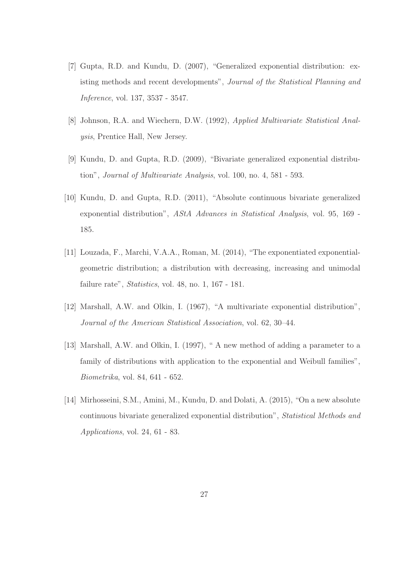- [7] Gupta, R.D. and Kundu, D. (2007), "Generalized exponential distribution: existing methods and recent developments", Journal of the Statistical Planning and Inference, vol. 137, 3537 - 3547.
- [8] Johnson, R.A. and Wiechern, D.W. (1992), Applied Multivariate Statistical Analysis, Prentice Hall, New Jersey.
- [9] Kundu, D. and Gupta, R.D. (2009), "Bivariate generalized exponential distribution", Journal of Multivariate Analysis, vol. 100, no. 4, 581 - 593.
- [10] Kundu, D. and Gupta, R.D. (2011), "Absolute continuous bivariate generalized exponential distribution", AStA Advances in Statistical Analysis, vol. 95, 169 - 185.
- [11] Louzada, F., Marchi, V.A.A., Roman, M. (2014), "The exponentiated exponentialgeometric distribution; a distribution with decreasing, increasing and unimodal failure rate", Statistics, vol. 48, no. 1, 167 - 181.
- [12] Marshall, A.W. and Olkin, I. (1967), "A multivariate exponential distribution", Journal of the American Statistical Association, vol. 62, 30–44.
- [13] Marshall, A.W. and Olkin, I. (1997), " A new method of adding a parameter to a family of distributions with application to the exponential and Weibull families", Biometrika, vol. 84, 641 - 652.
- [14] Mirhosseini, S.M., Amini, M., Kundu, D. and Dolati, A. (2015), "On a new absolute continuous bivariate generalized exponential distribution", Statistical Methods and Applications, vol. 24, 61 - 83.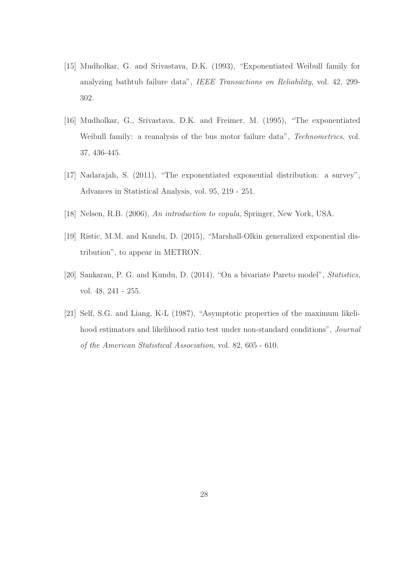- [15] Mudholkar, G. and Srivastava, D.K. (1993), "Exponentiated Weibull family for analyzing bathtub failure data", IEEE Transactions on Reliability, vol. 42, 299- 302.
- [16] Mudholkar, G., Srivastava, D.K. and Freimer, M. (1995), "The exponentiated Weibull family: a reanalysis of the bus motor failure data", *Technometrics*, vol. 37, 436-445.
- [17] Nadarajah, S. (2011), "The exponentiated exponential distribution: a survey", Advances in Statistical Analysis, vol. 95, 219 - 251.
- [18] Nelsen, R.B. (2006), An introduction to copula, Springer, New York, USA.
- [19] Ristic, M.M. and Kundu, D. (2015), "Marshall-Olkin generalized exponential distribution", to appear in METRON.
- [20] Sankaran, P. G. and Kundu, D. (2014), "On a bivariate Pareto model", Statistics, vol. 48, 241 - 255.
- [21] Self, S.G. and Liang, K-L (1987), "Asymptotic properties of the maximum likelihood estimators and likelihood ratio test under non-standard conditions", Journal of the American Statistical Association, vol. 82, 605 - 610.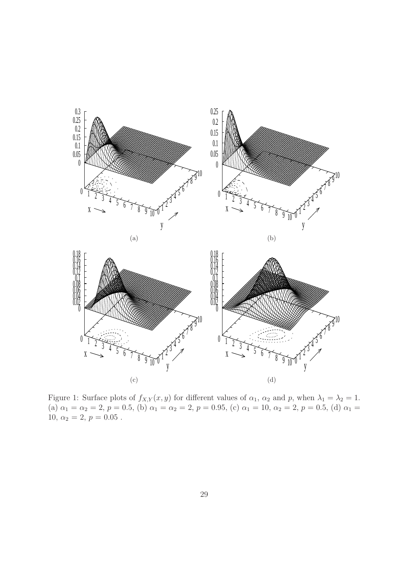



Figure 1: Surface plots of  $f_{X,Y}(x, y)$  for different values of  $\alpha_1$ ,  $\alpha_2$  and p, when  $\lambda_1 = \lambda_2 = 1$ . (a)  $\alpha_1 = \alpha_2 = 2$ ,  $p = 0.5$ , (b)  $\alpha_1 = \alpha_2 = 2$ ,  $p = 0.95$ , (c)  $\alpha_1 = 10$ ,  $\alpha_2 = 2$ ,  $p = 0.5$ , (d)  $\alpha_1 =$ 10,  $\alpha_2 = 2, p = 0.05$ .